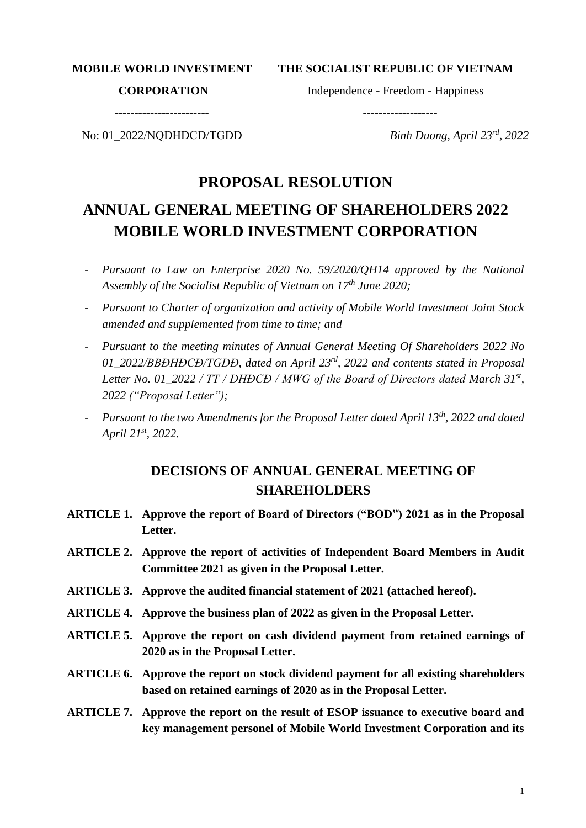**MOBILE WORLD INVESTMENT**

**THE SOCIALIST REPUBLIC OF VIETNAM**

#### **CORPORATION**

Independence - Freedom - Happiness

 **-------------------**

**------------------------**

No: 01\_2022/NQĐHĐCĐ/TGDĐ

*Binh Duong, April 23rd , 2022*

# **PROPOSAL RESOLUTION**

# **ANNUAL GENERAL MEETING OF SHAREHOLDERS 2022 MOBILE WORLD INVESTMENT CORPORATION**

- *Pursuant to Law on Enterprise 2020 No. 59/2020/QH14 approved by the National Assembly of the Socialist Republic of Vietnam on 17th June 2020;*
- *Pursuant to Charter of organization and activity of Mobile World Investment Joint Stock amended and supplemented from time to time; and*
- *Pursuant to the meeting minutes of Annual General Meeting Of Shareholders 2022 No 01\_2022/BBĐHĐCĐ/TGDĐ, dated on April 23rd, 2022 and contents stated in Proposal Letter No. 01\_2022 / TT / DHĐCĐ / MWG of the Board of Directors dated March 31st , 2022 ("Proposal Letter");*
- *Pursuant to the two Amendments for the Proposal Letter dated April 13th , 2022 and dated April 21st, 2022.*

# **DECISIONS OF ANNUAL GENERAL MEETING OF SHAREHOLDERS**

- **ARTICLE 1. Approve the report of Board of Directors ("BOD") 2021 as in the Proposal Letter.**
- **ARTICLE 2. Approve the report of activities of Independent Board Members in Audit Committee 2021 as given in the Proposal Letter.**
- **ARTICLE 3. Approve the audited financial statement of 2021 (attached hereof).**
- **ARTICLE 4. Approve the business plan of 2022 as given in the Proposal Letter.**
- **ARTICLE 5. Approve the report on cash dividend payment from retained earnings of 2020 as in the Proposal Letter.**
- **ARTICLE 6. Approve the report on stock dividend payment for all existing shareholders based on retained earnings of 2020 as in the Proposal Letter.**
- **ARTICLE 7. Approve the report on the result of ESOP issuance to executive board and key management personel of Mobile World Investment Corporation and its**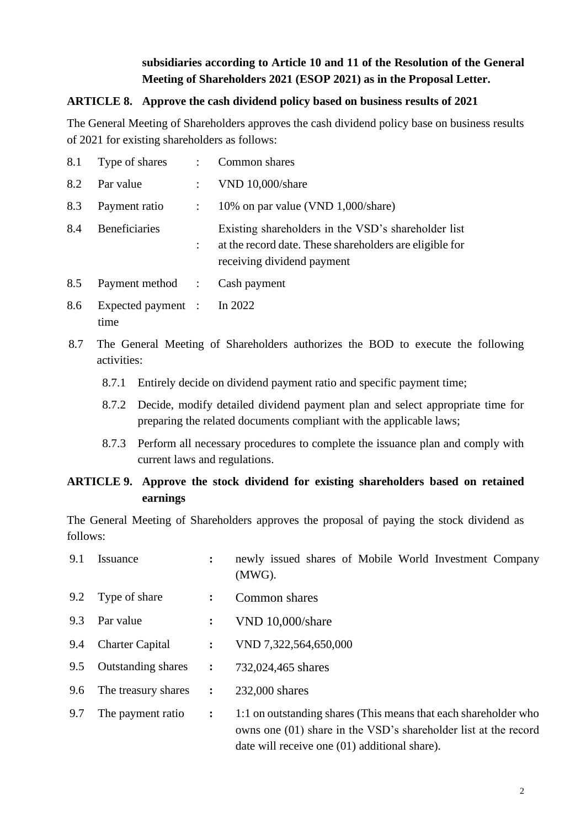# **subsidiaries according to Article 10 and 11 of the Resolution of the General Meeting of Shareholders 2021 (ESOP 2021) as in the Proposal Letter.**

### **ARTICLE 8. Approve the cash dividend policy based on business results of 2021**

The General Meeting of Shareholders approves the cash dividend policy base on business results of 2021 for existing shareholders as follows:

|     | 8.1 Type of shares : Common shares |                |                                                                                                                                              |
|-----|------------------------------------|----------------|----------------------------------------------------------------------------------------------------------------------------------------------|
| 8.2 | Par value                          | $\mathbb{R}^n$ | VND 10,000/share                                                                                                                             |
| 8.3 | Payment ratio                      | $\ddot{\cdot}$ | 10% on par value (VND 1,000/share)                                                                                                           |
| 8.4 | <b>Beneficiaries</b>               |                | Existing shareholders in the VSD's shareholder list<br>at the record date. These shareholders are eligible for<br>receiving dividend payment |
| 8.5 | Payment method : Cash payment      |                |                                                                                                                                              |

- 8.6 Expected payment time : In 2022
- 8.7 The General Meeting of Shareholders authorizes the BOD to execute the following activities:
	- 8.7.1 Entirely decide on dividend payment ratio and specific payment time;
	- 8.7.2 Decide, modify detailed dividend payment plan and select appropriate time for preparing the related documents compliant with the applicable laws;
	- 8.7.3 Perform all necessary procedures to complete the issuance plan and comply with current laws and regulations.

# **ARTICLE 9. Approve the stock dividend for existing shareholders based on retained earnings**

The General Meeting of Shareholders approves the proposal of paying the stock dividend as follows:

| 9.1 | Issuance                  | $\ddot{\cdot}$ | newly issued shares of Mobile World Investment Company<br>$(MWG)$ .                                                                                                                 |
|-----|---------------------------|----------------|-------------------------------------------------------------------------------------------------------------------------------------------------------------------------------------|
| 9.2 | Type of share             | $\ddot{\cdot}$ | Common shares                                                                                                                                                                       |
| 9.3 | Par value                 | $\ddot{\cdot}$ | VND 10,000/share                                                                                                                                                                    |
| 9.4 | <b>Charter Capital</b>    | $\ddot{\cdot}$ | VND 7,322,564,650,000                                                                                                                                                               |
| 9.5 | <b>Outstanding shares</b> | $\ddot{\cdot}$ | 732,024,465 shares                                                                                                                                                                  |
| 9.6 | The treasury shares       | $\ddot{\cdot}$ | 232,000 shares                                                                                                                                                                      |
| 9.7 | The payment ratio         | $\ddot{\cdot}$ | 1:1 on outstanding shares (This means that each shareholder who<br>owns one (01) share in the VSD's shareholder list at the record<br>date will receive one (01) additional share). |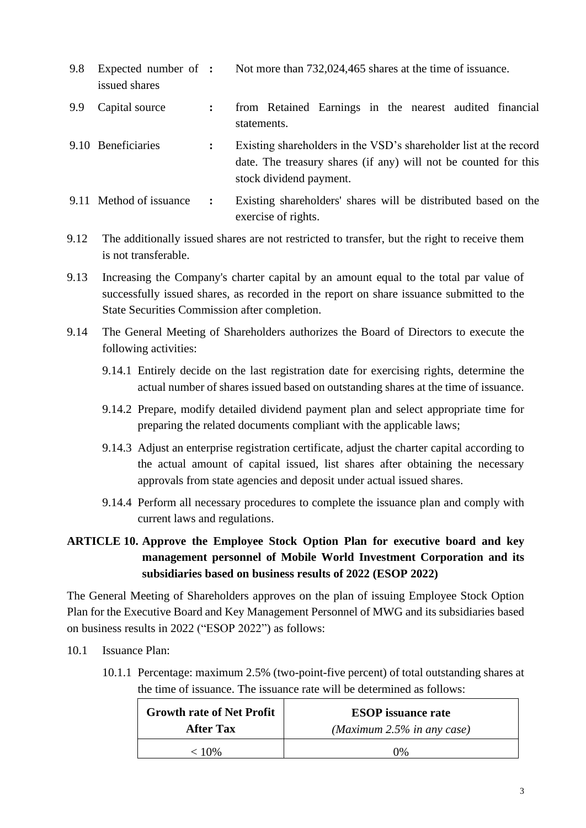| 9.8 | Expected number of :<br>issued shares |                | Not more than 732,024,465 shares at the time of issuance.                                                                                                       |
|-----|---------------------------------------|----------------|-----------------------------------------------------------------------------------------------------------------------------------------------------------------|
| 9.9 | Capital source                        | $\ddot{\cdot}$ | from Retained Earnings in the nearest audited financial<br>statements.                                                                                          |
|     | 9.10 Beneficiaries                    | $\ddot{\cdot}$ | Existing shareholders in the VSD's shareholder list at the record<br>date. The treasury shares (if any) will not be counted for this<br>stock dividend payment. |
|     | 9.11 Method of issuance               | $\ddot{\cdot}$ | Existing shareholders' shares will be distributed based on the<br>exercise of rights.                                                                           |

9.12 The additionally issued shares are not restricted to transfer, but the right to receive them is not transferable.

9.13 Increasing the Company's charter capital by an amount equal to the total par value of successfully issued shares, as recorded in the report on share issuance submitted to the State Securities Commission after completion.

9.14 The General Meeting of Shareholders authorizes the Board of Directors to execute the following activities:

- 9.14.1 Entirely decide on the last registration date for exercising rights, determine the actual number of shares issued based on outstanding shares at the time of issuance.
- 9.14.2 Prepare, modify detailed dividend payment plan and select appropriate time for preparing the related documents compliant with the applicable laws;
- 9.14.3 Adjust an enterprise registration certificate, adjust the charter capital according to the actual amount of capital issued, list shares after obtaining the necessary approvals from state agencies and deposit under actual issued shares.
- 9.14.4 Perform all necessary procedures to complete the issuance plan and comply with current laws and regulations.

# **ARTICLE 10. Approve the Employee Stock Option Plan for executive board and key management personnel of Mobile World Investment Corporation and its subsidiaries based on business results of 2022 (ESOP 2022)**

The General Meeting of Shareholders approves on the plan of issuing Employee Stock Option Plan for the Executive Board and Key Management Personnel of MWG and its subsidiaries based on business results in 2022 ("ESOP 2022") as follows:

- 10.1 Issuance Plan:
	- 10.1.1 Percentage: maximum 2.5% (two-point-five percent) of total outstanding shares at the time of issuance. The issuance rate will be determined as follows:

| <b>Growth rate of Net Profit</b> | <b>ESOP</b> issuance rate  |
|----------------------------------|----------------------------|
| <b>After Tax</b>                 | (Maximum 2.5% in any case) |
| $< 10\%$                         | 0%                         |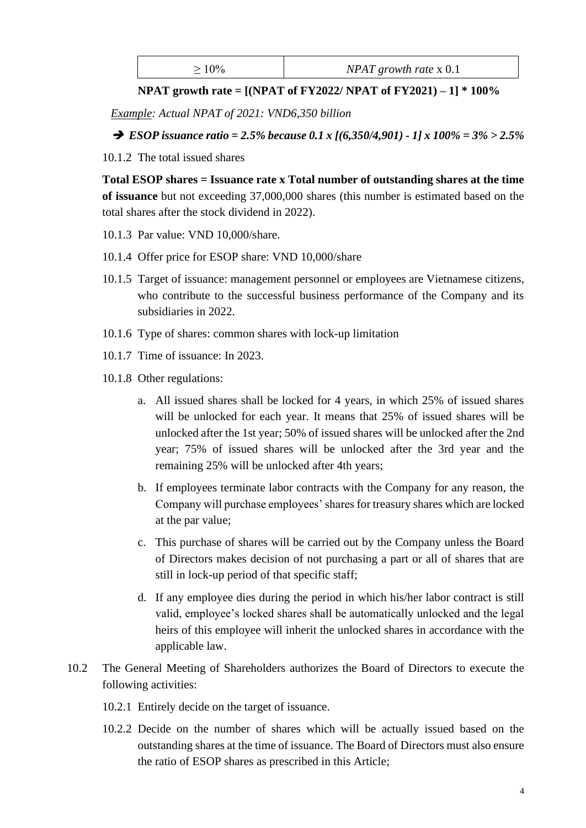| $NPAT$ growth rate $x$ 0.1 |
|----------------------------|
|                            |

**NPAT growth rate = [(NPAT of FY2022/ NPAT of FY2021) – 1] \* 100%**

*Example: Actual NPAT of 2021: VND6,350 billion*

➔ *ESOP issuance ratio = 2.5% because 0.1 x [(6,350/4,901) - 1] x 100% = 3% > 2.5%*

10.1.2 The total issued shares

**Total ESOP shares = Issuance rate x Total number of outstanding shares at the time of issuance** but not exceeding 37,000,000 shares (this number is estimated based on the total shares after the stock dividend in 2022).

- 10.1.3 Par value: VND 10,000/share.
- 10.1.4 Offer price for ESOP share: VND 10,000/share
- 10.1.5 Target of issuance: management personnel or employees are Vietnamese citizens, who contribute to the successful business performance of the Company and its subsidiaries in 2022.
- 10.1.6 Type of shares: common shares with lock-up limitation
- 10.1.7 Time of issuance: In 2023.
- 10.1.8 Other regulations:
	- a. All issued shares shall be locked for 4 years, in which 25% of issued shares will be unlocked for each year. It means that 25% of issued shares will be unlocked after the 1st year; 50% of issued shares will be unlocked after the 2nd year; 75% of issued shares will be unlocked after the 3rd year and the remaining 25% will be unlocked after 4th years;
	- b. If employees terminate labor contracts with the Company for any reason, the Company will purchase employees' shares for treasury shares which are locked at the par value;
	- c. This purchase of shares will be carried out by the Company unless the Board of Directors makes decision of not purchasing a part or all of shares that are still in lock-up period of that specific staff;
	- d. If any employee dies during the period in which his/her labor contract is still valid, employee's locked shares shall be automatically unlocked and the legal heirs of this employee will inherit the unlocked shares in accordance with the applicable law.
- 10.2 The General Meeting of Shareholders authorizes the Board of Directors to execute the following activities:
	- 10.2.1 Entirely decide on the target of issuance.
	- 10.2.2 Decide on the number of shares which will be actually issued based on the outstanding shares at the time of issuance. The Board of Directors must also ensure the ratio of ESOP shares as prescribed in this Article;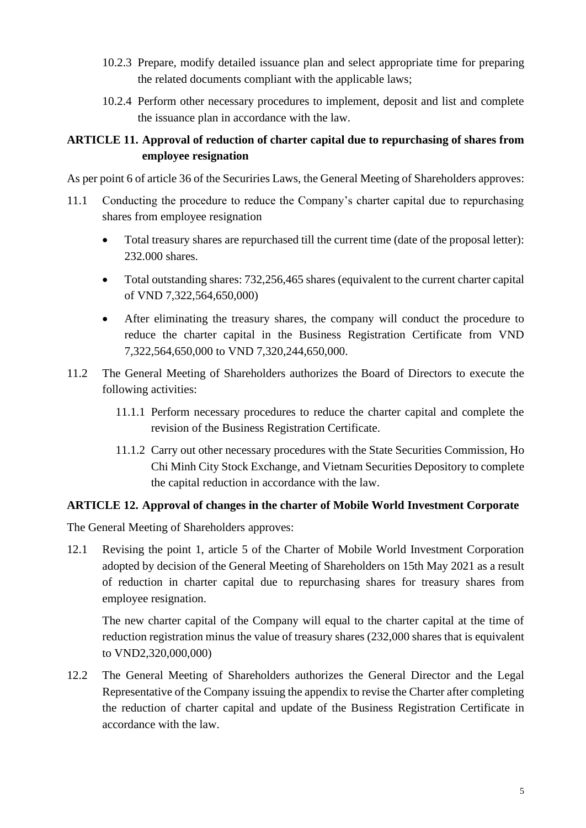- 10.2.3 Prepare, modify detailed issuance plan and select appropriate time for preparing the related documents compliant with the applicable laws;
- 10.2.4 Perform other necessary procedures to implement, deposit and list and complete the issuance plan in accordance with the law.

## **ARTICLE 11. Approval of reduction of charter capital due to repurchasing of shares from employee resignation**

As per point 6 of article 36 of the Securiries Laws, the General Meeting of Shareholders approves:

- 11.1 Conducting the procedure to reduce the Company's charter capital due to repurchasing shares from employee resignation
	- Total treasury shares are repurchased till the current time (date of the proposal letter): 232.000 shares.
	- Total outstanding shares: 732,256,465 shares (equivalent to the current charter capital of VND 7,322,564,650,000)
	- After eliminating the treasury shares, the company will conduct the procedure to reduce the charter capital in the Business Registration Certificate from VND 7,322,564,650,000 to VND 7,320,244,650,000.
- 11.2 The General Meeting of Shareholders authorizes the Board of Directors to execute the following activities:
	- 11.1.1 Perform necessary procedures to reduce the charter capital and complete the revision of the Business Registration Certificate.
	- 11.1.2 Carry out other necessary procedures with the State Securities Commission, Ho Chi Minh City Stock Exchange, and Vietnam Securities Depository to complete the capital reduction in accordance with the law.

## **ARTICLE 12. Approval of changes in the charter of Mobile World Investment Corporate**

The General Meeting of Shareholders approves:

12.1 Revising the point 1, article 5 of the Charter of Mobile World Investment Corporation adopted by decision of the General Meeting of Shareholders on 15th May 2021 as a result of reduction in charter capital due to repurchasing shares for treasury shares from employee resignation.

The new charter capital of the Company will equal to the charter capital at the time of reduction registration minus the value of treasury shares (232,000 shares that is equivalent to VND2,320,000,000)

12.2 The General Meeting of Shareholders authorizes the General Director and the Legal Representative of the Company issuing the appendix to revise the Charter after completing the reduction of charter capital and update of the Business Registration Certificate in accordance with the law.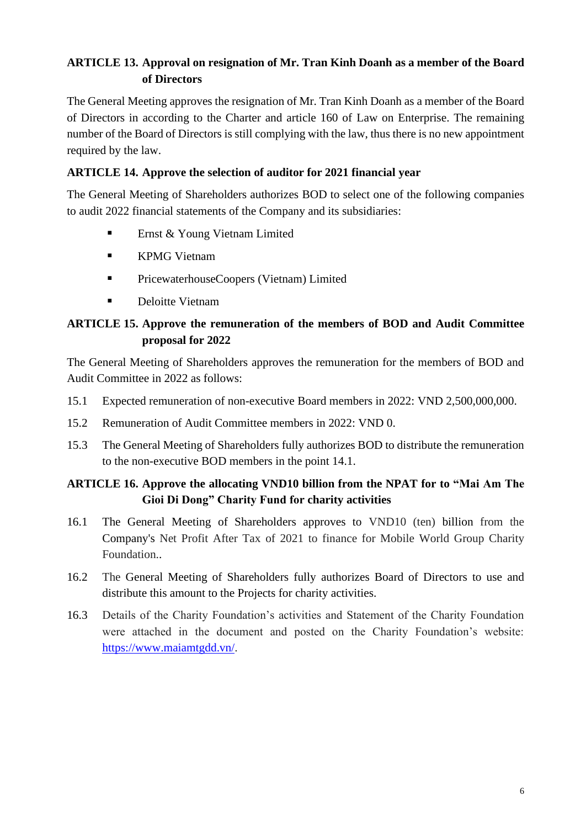# **ARTICLE 13. Approval on resignation of Mr. Tran Kinh Doanh as a member of the Board of Directors**

The General Meeting approves the resignation of Mr. Tran Kinh Doanh as a member of the Board of Directors in according to the Charter and article 160 of Law on Enterprise. The remaining number of the Board of Directors is still complying with the law, thus there is no new appointment required by the law.

## **ARTICLE 14. Approve the selection of auditor for 2021 financial year**

The General Meeting of Shareholders authorizes BOD to select one of the following companies to audit 2022 financial statements of the Company and its subsidiaries:

- Ernst & Young Vietnam Limited
- KPMG Vietnam
- **•** PricewaterhouseCoopers (Vietnam) Limited
- Deloitte Vietnam

# **ARTICLE 15. Approve the remuneration of the members of BOD and Audit Committee proposal for 2022**

The General Meeting of Shareholders approves the remuneration for the members of BOD and Audit Committee in 2022 as follows:

- 15.1 Expected remuneration of non-executive Board members in 2022: VND 2,500,000,000.
- 15.2 Remuneration of Audit Committee members in 2022: VND 0.
- 15.3 The General Meeting of Shareholders fully authorizes BOD to distribute the remuneration to the non-executive BOD members in the point 14.1.

# **ARTICLE 16. Approve the allocating VND10 billion from the NPAT for to "Mai Am The Gioi Di Dong" Charity Fund for charity activities**

- 16.1 The General Meeting of Shareholders approves to VND10 (ten) billion from the Company's Net Profit After Tax of 2021 to finance for Mobile World Group Charity Foundation..
- 16.2 The General Meeting of Shareholders fully authorizes Board of Directors to use and distribute this amount to the Projects for charity activities.
- 16.3 Details of the Charity Foundation's activities and Statement of the Charity Foundation were attached in the document and posted on the Charity Foundation's website: [https://www.maiamtgdd.vn/.](https://www.maiamtgdd.vn/)